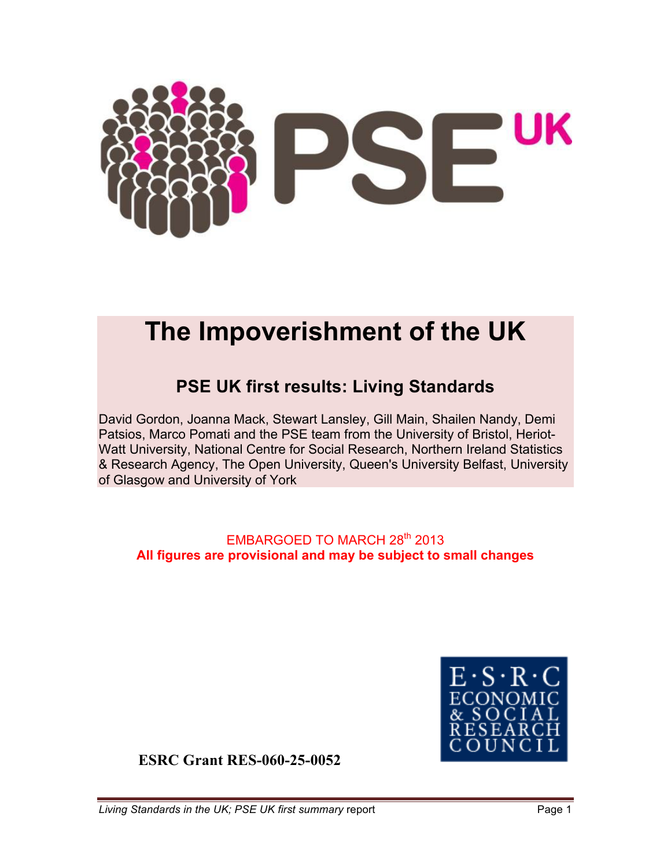

# **The Impoverishment of the UK**

## **PSE UK first results: Living Standards**

David Gordon, Joanna Mack, Stewart Lansley, Gill Main, Shailen Nandy, Demi Patsios, Marco Pomati and the PSE team from the University of Bristol, Heriot-Watt University, National Centre for Social Research, Northern Ireland Statistics & Research Agency, The Open University, Queen's University Belfast, University of Glasgow and University of York

### EMBARGOED TO MARCH 28<sup>th</sup> 2013 **All figures are provisional and may be subject to small changes**



**ESRC Grant RES-060-25-0052**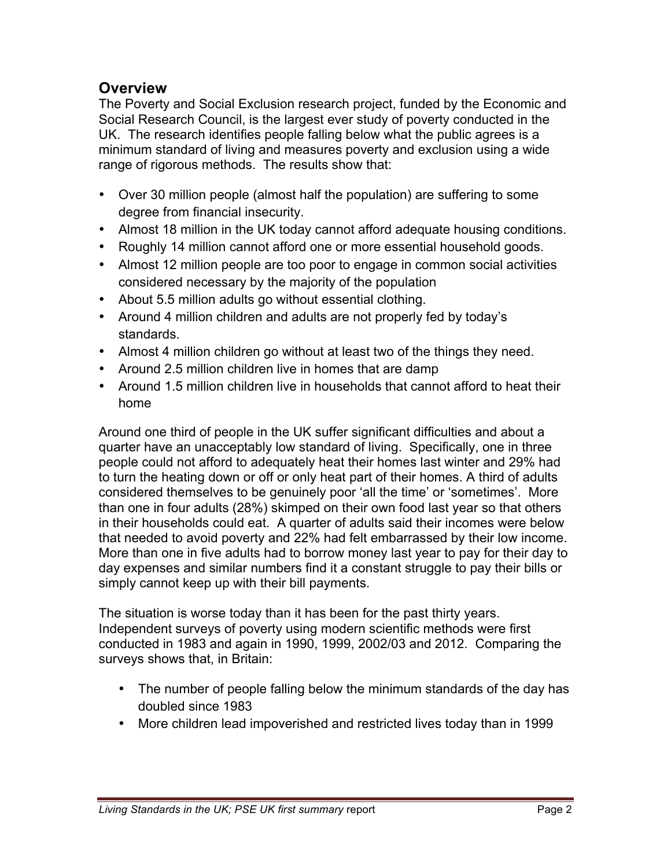### **Overview**

The Poverty and Social Exclusion research project, funded by the Economic and Social Research Council, is the largest ever study of poverty conducted in the UK. The research identifies people falling below what the public agrees is a minimum standard of living and measures poverty and exclusion using a wide range of rigorous methods. The results show that:

- Over 30 million people (almost half the population) are suffering to some degree from financial insecurity.
- Almost 18 million in the UK today cannot afford adequate housing conditions.
- Roughly 14 million cannot afford one or more essential household goods.
- Almost 12 million people are too poor to engage in common social activities considered necessary by the majority of the population
- About 5.5 million adults go without essential clothing.
- Around 4 million children and adults are not properly fed by today's standards.
- Almost 4 million children go without at least two of the things they need.
- Around 2.5 million children live in homes that are damp
- Around 1.5 million children live in households that cannot afford to heat their home

Around one third of people in the UK suffer significant difficulties and about a quarter have an unacceptably low standard of living. Specifically, one in three people could not afford to adequately heat their homes last winter and 29% had to turn the heating down or off or only heat part of their homes. A third of adults considered themselves to be genuinely poor 'all the time' or 'sometimes'. More than one in four adults (28%) skimped on their own food last year so that others in their households could eat. A quarter of adults said their incomes were below that needed to avoid poverty and 22% had felt embarrassed by their low income. More than one in five adults had to borrow money last year to pay for their day to day expenses and similar numbers find it a constant struggle to pay their bills or simply cannot keep up with their bill payments.

The situation is worse today than it has been for the past thirty years. Independent surveys of poverty using modern scientific methods were first conducted in 1983 and again in 1990, 1999, 2002/03 and 2012. Comparing the surveys shows that, in Britain:

- The number of people falling below the minimum standards of the day has doubled since 1983
- More children lead impoverished and restricted lives today than in 1999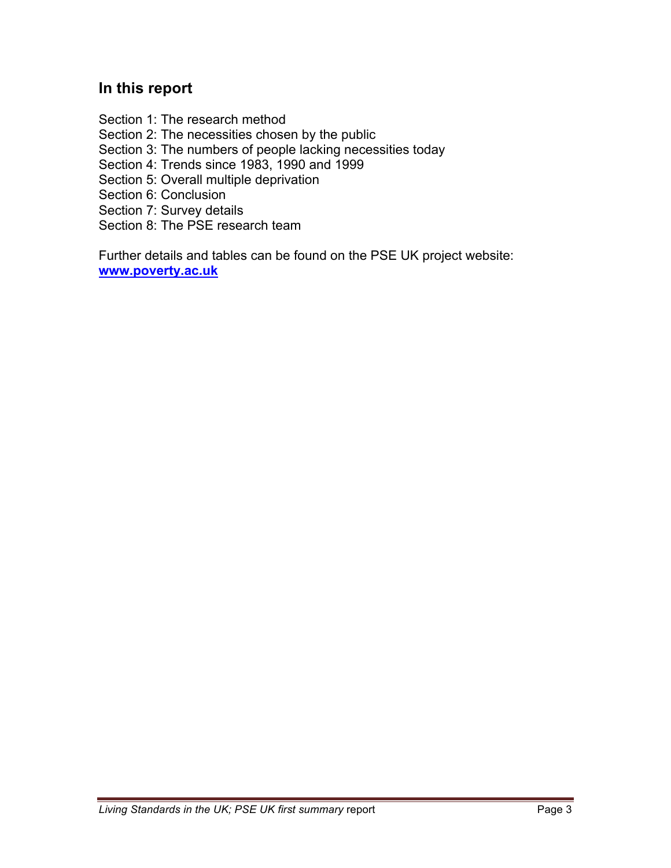### **In this report**

Section 1: The research method Section 2: The necessities chosen by the public Section 3: The numbers of people lacking necessities today Section 4: Trends since 1983, 1990 and 1999 Section 5: Overall multiple deprivation Section 6: Conclusion Section 7: Survey details Section 8: The PSE research team

Further details and tables can be found on the PSE UK project website: **www.poverty.ac.uk**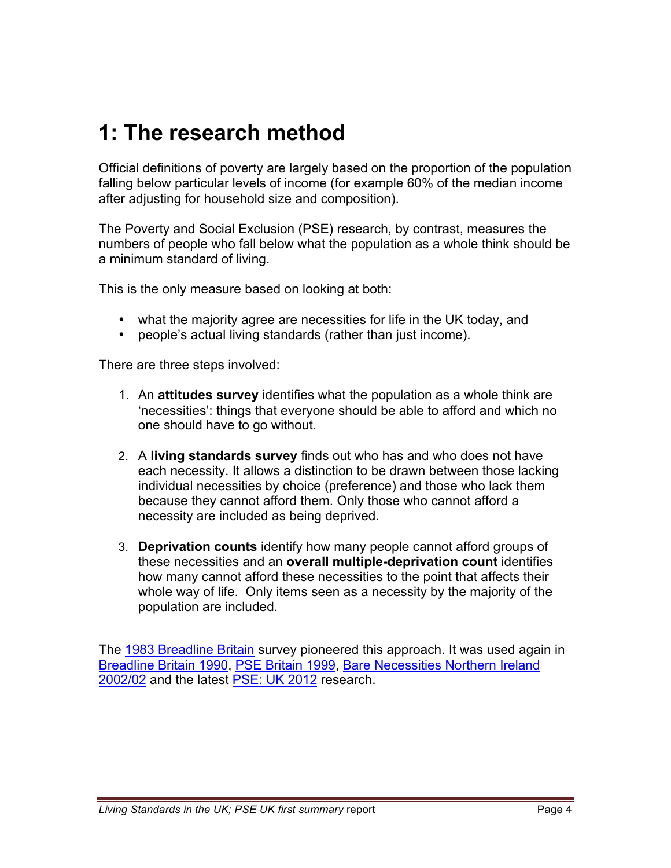# **1: The research method**

Official definitions of poverty are largely based on the proportion of the population falling below particular levels of income (for example 60% of the median income after adjusting for household size and composition).

The Poverty and Social Exclusion (PSE) research, by contrast, measures the numbers of people who fall below what the population as a whole think should be a minimum standard of living.

This is the only measure based on looking at both:

- what the majority agree are necessities for life in the UK today, and
- people's actual living standards (rather than just income).

There are three steps involved:

- 1. An **attitudes survey** identifies what the population as a whole think are 'necessities': things that everyone should be able to afford and which no one should have to go without.
- 2. A **living standards survey** finds out who has and who does not have each necessity. It allows a distinction to be drawn between those lacking individual necessities by choice (preference) and those who lack them because they cannot afford them. Only those who cannot afford a necessity are included as being deprived.
- 3. **Deprivation counts** identify how many people cannot afford groups of these necessities and an **overall multiple-deprivation count** identifies how many cannot afford these necessities to the point that affects their whole way of life. Only items seen as a necessity by the majority of the population are included.

The [1983 Breadline Britain](http://www.poverty.ac.uk/pse-research/past-uk-research/breadline-britain-1990) survey pioneered this approach. It was used again in [Breadline Britain 1990,](http://www.poverty.ac.uk/pse-research/past-uk-research/breadline-britain-1990) [PSE Britain 1999,](http://www.poverty.ac.uk/pse-research/pse-uk-2012) [Bare Necessities Northern Ireland](http://www.poverty.ac.uk/pse-research/past-uk-research/pse-northern-ireland-20023) 2002/02 and the latest [PSE: UK 2012](http://www.poverty.ac.uk/pse-research/pse-uk-2012) research.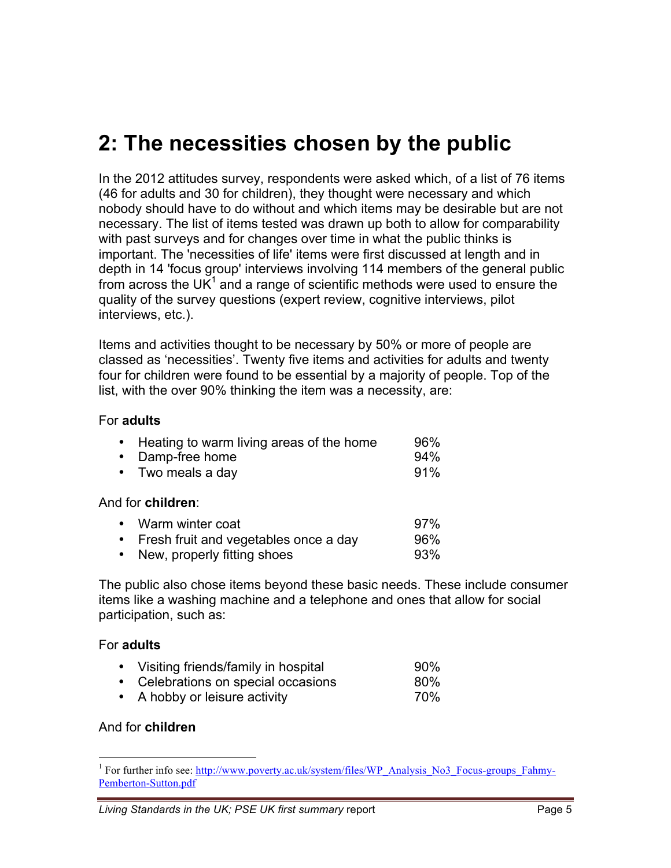# **2: The necessities chosen by the public**

In the 2012 attitudes survey, respondents were asked which, of a list of 76 items (46 for adults and 30 for children), they thought were necessary and which nobody should have to do without and which items may be desirable but are not necessary. The list of items tested was drawn up both to allow for comparability with past surveys and for changes over time in what the public thinks is important. The 'necessities of life' items were first discussed at length and in depth in 14 'focus group' interviews involving 114 members of the general public from across the UK $<sup>1</sup>$  and a range of scientific methods were used to ensure the</sup> quality of the survey questions (expert review, cognitive interviews, pilot interviews, etc.).

Items and activities thought to be necessary by 50% or more of people are classed as 'necessities'. Twenty five items and activities for adults and twenty four for children were found to be essential by a majority of people. Top of the list, with the over 90% thinking the item was a necessity, are:

### For **adults**

| • Heating to warm living areas of the home | 96%    |
|--------------------------------------------|--------|
| • Damp-free home                           | $94\%$ |
| $\bullet$ Two meals a day                  | 91%    |

#### And for **children**:

| • Warm winter coat                      | 97% |
|-----------------------------------------|-----|
| • Fresh fruit and vegetables once a day | 96% |
| • New, properly fitting shoes           | 93% |

The public also chose items beyond these basic needs. These include consumer items like a washing machine and a telephone and ones that allow for social participation, such as:

#### For **adults**

| • Visiting friends/family in hospital | 90% |
|---------------------------------------|-----|
| • Celebrations on special occasions   | 80% |
| • A hobby or leisure activity         | 70% |

#### And for **children**

<sup>&</sup>lt;sup>1</sup> For further info see: http://www.poverty.ac.uk/system/files/WP\_Analysis\_No3\_Focus-groups\_Fahmy-Pemberton-Sutton.pdf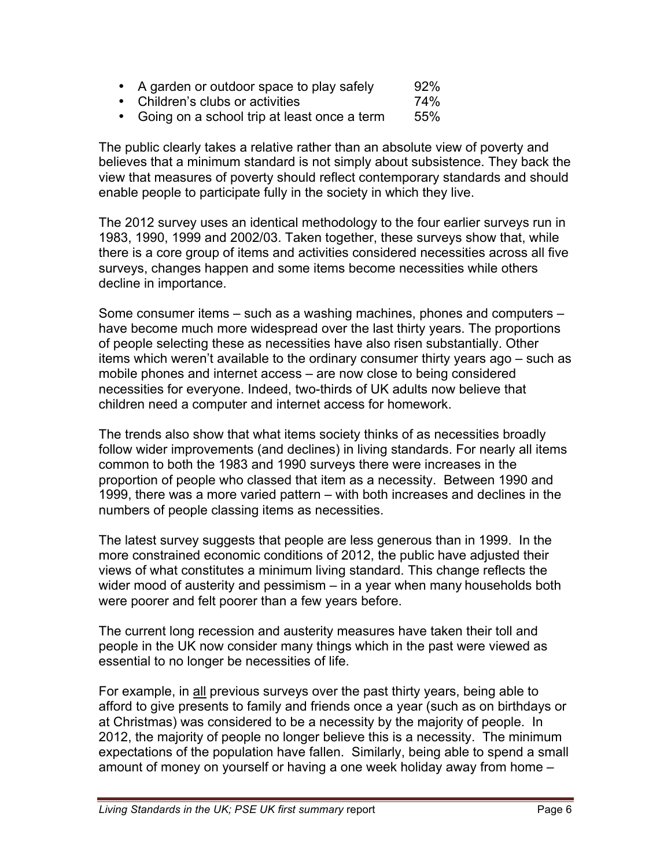- A garden or outdoor space to play safely 92%<br>• Children's clubs or activities 974%
- Children's clubs or activities
- Going on a school trip at least once a term 55%

The public clearly takes a relative rather than an absolute view of poverty and believes that a minimum standard is not simply about subsistence. They back the view that measures of poverty should reflect contemporary standards and should enable people to participate fully in the society in which they live.

The 2012 survey uses an identical methodology to the four earlier surveys run in 1983, 1990, 1999 and 2002/03. Taken together, these surveys show that, while there is a core group of items and activities considered necessities across all five surveys, changes happen and some items become necessities while others decline in importance.

Some consumer items – such as a washing machines, phones and computers – have become much more widespread over the last thirty years. The proportions of people selecting these as necessities have also risen substantially. Other items which weren't available to the ordinary consumer thirty years ago – such as mobile phones and internet access – are now close to being considered necessities for everyone. Indeed, two-thirds of UK adults now believe that children need a computer and internet access for homework.

The trends also show that what items society thinks of as necessities broadly follow wider improvements (and declines) in living standards. For nearly all items common to both the 1983 and 1990 surveys there were increases in the proportion of people who classed that item as a necessity. Between 1990 and 1999, there was a more varied pattern – with both increases and declines in the numbers of people classing items as necessities.

The latest survey suggests that people are less generous than in 1999. In the more constrained economic conditions of 2012, the public have adjusted their views of what constitutes a minimum living standard. This change reflects the wider mood of austerity and pessimism – in a year when many households both were poorer and felt poorer than a few years before.

The current long recession and austerity measures have taken their toll and people in the UK now consider many things which in the past were viewed as essential to no longer be necessities of life.

For example, in all previous surveys over the past thirty years, being able to afford to give presents to family and friends once a year (such as on birthdays or at Christmas) was considered to be a necessity by the majority of people. In 2012, the majority of people no longer believe this is a necessity. The minimum expectations of the population have fallen. Similarly, being able to spend a small amount of money on yourself or having a one week holiday away from home –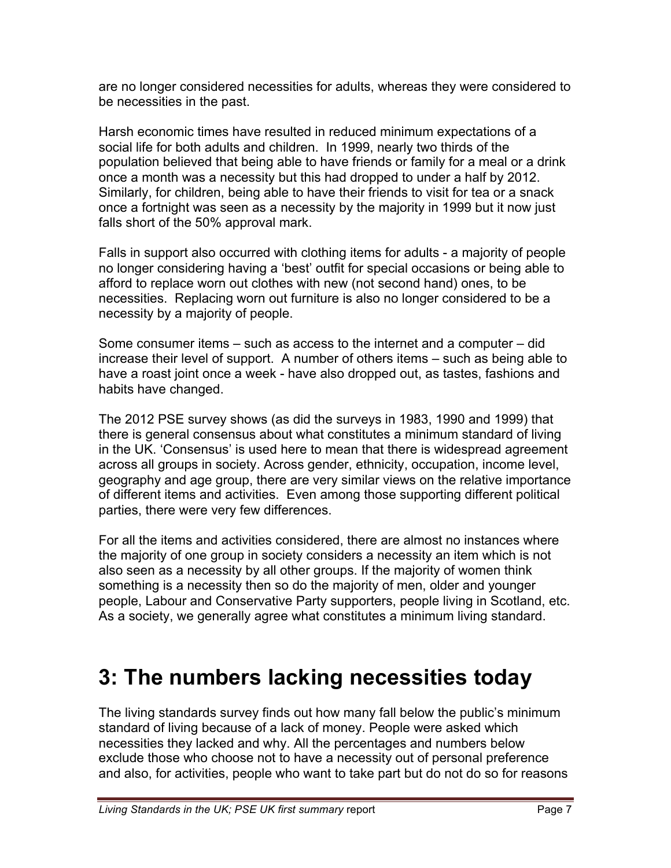are no longer considered necessities for adults, whereas they were considered to be necessities in the past.

Harsh economic times have resulted in reduced minimum expectations of a social life for both adults and children. In 1999, nearly two thirds of the population believed that being able to have friends or family for a meal or a drink once a month was a necessity but this had dropped to under a half by 2012. Similarly, for children, being able to have their friends to visit for tea or a snack once a fortnight was seen as a necessity by the majority in 1999 but it now just falls short of the 50% approval mark.

Falls in support also occurred with clothing items for adults - a majority of people no longer considering having a 'best' outfit for special occasions or being able to afford to replace worn out clothes with new (not second hand) ones, to be necessities. Replacing worn out furniture is also no longer considered to be a necessity by a majority of people.

Some consumer items – such as access to the internet and a computer – did increase their level of support. A number of others items – such as being able to have a roast joint once a week - have also dropped out, as tastes, fashions and habits have changed.

The 2012 PSE survey shows (as did the surveys in 1983, 1990 and 1999) that there is general consensus about what constitutes a minimum standard of living in the UK. 'Consensus' is used here to mean that there is widespread agreement across all groups in society. Across gender, ethnicity, occupation, income level, geography and age group, there are very similar views on the relative importance of different items and activities. Even among those supporting different political parties, there were very few differences.

For all the items and activities considered, there are almost no instances where the majority of one group in society considers a necessity an item which is not also seen as a necessity by all other groups. If the majority of women think something is a necessity then so do the majority of men, older and younger people, Labour and Conservative Party supporters, people living in Scotland, etc. As a society, we generally agree what constitutes a minimum living standard.

# **3: The numbers lacking necessities today**

The living standards survey finds out how many fall below the public's minimum standard of living because of a lack of money. People were asked which necessities they lacked and why. All the percentages and numbers below exclude those who choose not to have a necessity out of personal preference and also, for activities, people who want to take part but do not do so for reasons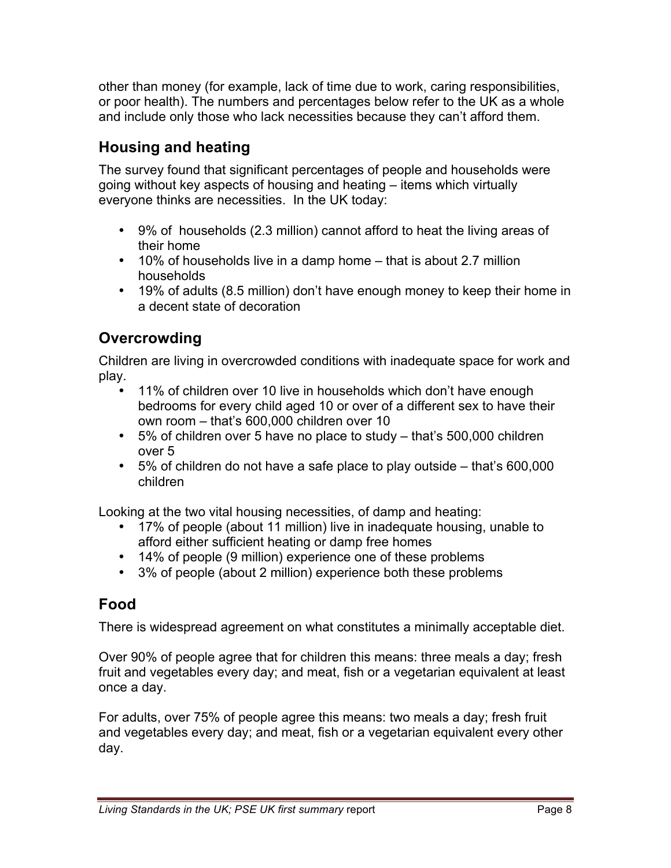other than money (for example, lack of time due to work, caring responsibilities, or poor health). The numbers and percentages below refer to the UK as a whole and include only those who lack necessities because they can't afford them.

## **Housing and heating**

The survey found that significant percentages of people and households were going without key aspects of housing and heating – items which virtually everyone thinks are necessities. In the UK today:

- 9% of households (2.3 million) cannot afford to heat the living areas of their home
- 10% of households live in a damp home that is about 2.7 million households
- 19% of adults (8.5 million) don't have enough money to keep their home in a decent state of decoration

## **Overcrowding**

Children are living in overcrowded conditions with inadequate space for work and play.

- 11% of children over 10 live in households which don't have enough bedrooms for every child aged 10 or over of a different sex to have their own room – that's 600,000 children over 10
- 5% of children over 5 have no place to study that's 500,000 children over 5
- 5% of children do not have a safe place to play outside that's 600,000 children

Looking at the two vital housing necessities, of damp and heating:

- 17% of people (about 11 million) live in inadequate housing, unable to afford either sufficient heating or damp free homes
- 14% of people (9 million) experience one of these problems
- 3% of people (about 2 million) experience both these problems

## **Food**

There is widespread agreement on what constitutes a minimally acceptable diet.

Over 90% of people agree that for children this means: three meals a day; fresh fruit and vegetables every day; and meat, fish or a vegetarian equivalent at least once a day.

For adults, over 75% of people agree this means: two meals a day; fresh fruit and vegetables every day; and meat, fish or a vegetarian equivalent every other day.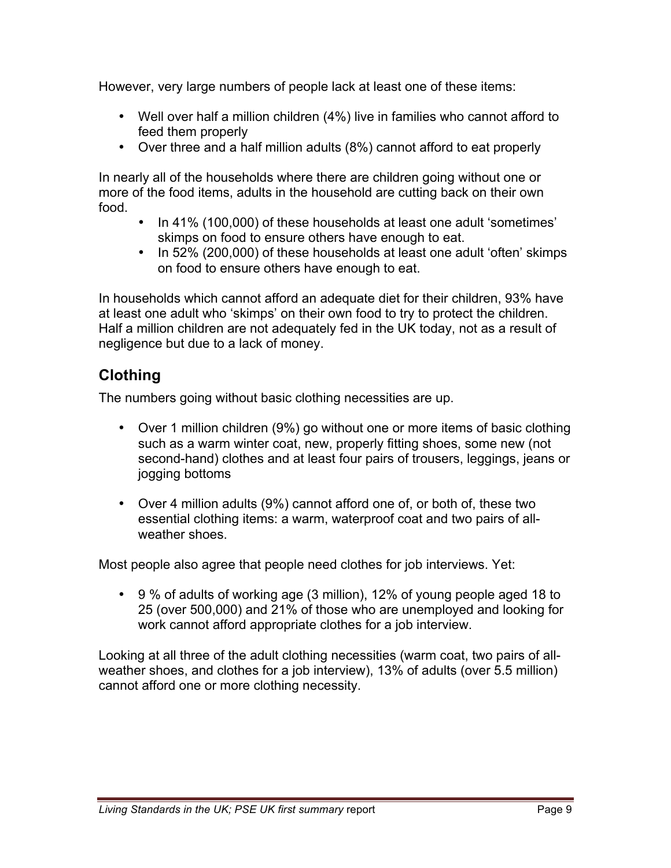However, very large numbers of people lack at least one of these items:

- Well over half a million children (4%) live in families who cannot afford to feed them properly
- Over three and a half million adults (8%) cannot afford to eat properly

In nearly all of the households where there are children going without one or more of the food items, adults in the household are cutting back on their own food.

- In 41% (100,000) of these households at least one adult 'sometimes' skimps on food to ensure others have enough to eat.
- In 52% (200,000) of these households at least one adult 'often' skimps on food to ensure others have enough to eat.

In households which cannot afford an adequate diet for their children, 93% have at least one adult who 'skimps' on their own food to try to protect the children. Half a million children are not adequately fed in the UK today, not as a result of negligence but due to a lack of money.

## **Clothing**

The numbers going without basic clothing necessities are up.

- Over 1 million children (9%) go without one or more items of basic clothing such as a warm winter coat, new, properly fitting shoes, some new (not second-hand) clothes and at least four pairs of trousers, leggings, jeans or jogging bottoms
- Over 4 million adults (9%) cannot afford one of, or both of, these two essential clothing items: a warm, waterproof coat and two pairs of allweather shoes.

Most people also agree that people need clothes for job interviews. Yet:

• 9 % of adults of working age (3 million), 12% of young people aged 18 to 25 (over 500,000) and 21% of those who are unemployed and looking for work cannot afford appropriate clothes for a job interview.

Looking at all three of the adult clothing necessities (warm coat, two pairs of allweather shoes, and clothes for a job interview), 13% of adults (over 5.5 million) cannot afford one or more clothing necessity.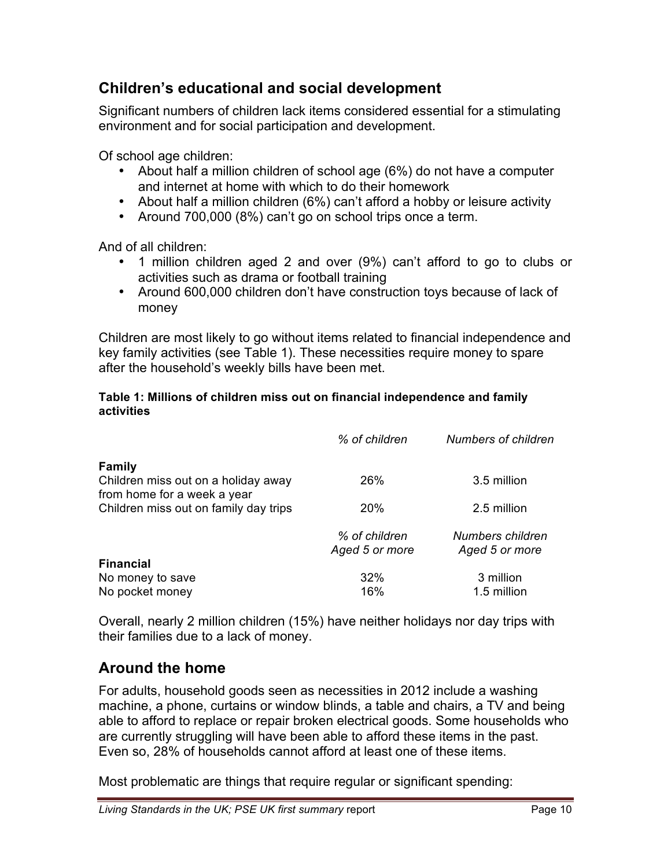## **Children's educational and social development**

Significant numbers of children lack items considered essential for a stimulating environment and for social participation and development.

Of school age children:

- About half a million children of school age (6%) do not have a computer and internet at home with which to do their homework
- About half a million children (6%) can't afford a hobby or leisure activity
- Around 700,000 (8%) can't go on school trips once a term.

And of all children:

- 1 million children aged 2 and over (9%) can't afford to go to clubs or activities such as drama or football training
- Around 600,000 children don't have construction toys because of lack of money

Children are most likely to go without items related to financial independence and key family activities (see Table 1). These necessities require money to spare after the household's weekly bills have been met.

#### **Table 1: Millions of children miss out on financial independence and family activities**

|                                                                      | % of children                   | <b>Numbers of children</b>         |
|----------------------------------------------------------------------|---------------------------------|------------------------------------|
| <b>Family</b><br>Children miss out on a holiday away                 | 26%                             | 3.5 million                        |
| from home for a week a year<br>Children miss out on family day trips | 20%                             | 2.5 million                        |
|                                                                      | % of children<br>Aged 5 or more | Numbers children<br>Aged 5 or more |
| <b>Financial</b>                                                     |                                 |                                    |
| No money to save                                                     | 32%                             | 3 million                          |
| No pocket money                                                      | 16%                             | 1.5 million                        |

Overall, nearly 2 million children (15%) have neither holidays nor day trips with their families due to a lack of money.

### **Around the home**

For adults, household goods seen as necessities in 2012 include a washing machine, a phone, curtains or window blinds, a table and chairs, a TV and being able to afford to replace or repair broken electrical goods. Some households who are currently struggling will have been able to afford these items in the past. Even so, 28% of households cannot afford at least one of these items.

Most problematic are things that require regular or significant spending: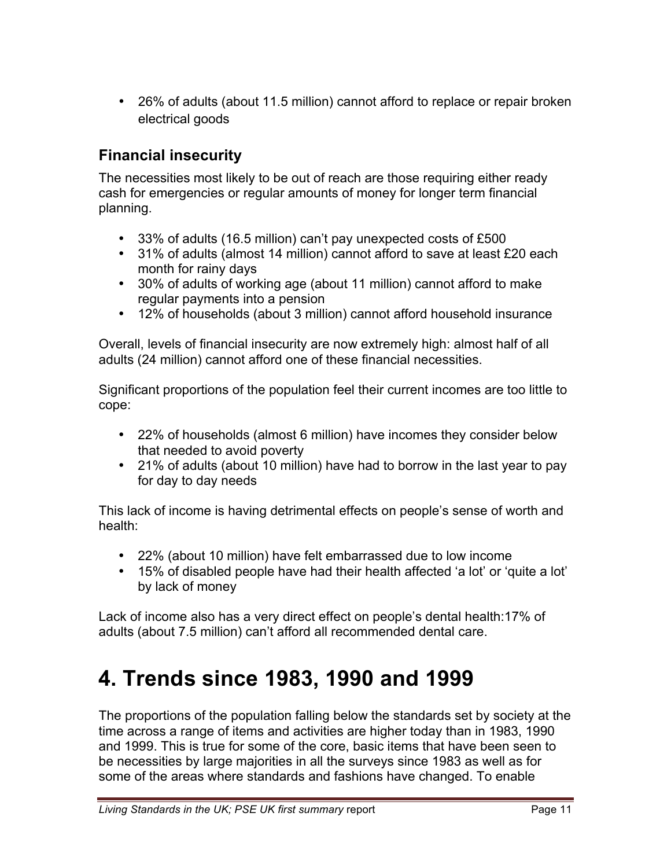• 26% of adults (about 11.5 million) cannot afford to replace or repair broken electrical goods

### **Financial insecurity**

The necessities most likely to be out of reach are those requiring either ready cash for emergencies or regular amounts of money for longer term financial planning.

- 33% of adults (16.5 million) can't pay unexpected costs of £500
- 31% of adults (almost 14 million) cannot afford to save at least £20 each month for rainy days
- 30% of adults of working age (about 11 million) cannot afford to make regular payments into a pension
- 12% of households (about 3 million) cannot afford household insurance

Overall, levels of financial insecurity are now extremely high: almost half of all adults (24 million) cannot afford one of these financial necessities.

Significant proportions of the population feel their current incomes are too little to cope:

- 22% of households (almost 6 million) have incomes they consider below that needed to avoid poverty
- 21% of adults (about 10 million) have had to borrow in the last year to pay for day to day needs

This lack of income is having detrimental effects on people's sense of worth and health:

- 22% (about 10 million) have felt embarrassed due to low income
- 15% of disabled people have had their health affected 'a lot' or 'quite a lot' by lack of money

Lack of income also has a very direct effect on people's dental health:17% of adults (about 7.5 million) can't afford all recommended dental care.

# **4. Trends since 1983, 1990 and 1999**

The proportions of the population falling below the standards set by society at the time across a range of items and activities are higher today than in 1983, 1990 and 1999. This is true for some of the core, basic items that have been seen to be necessities by large majorities in all the surveys since 1983 as well as for some of the areas where standards and fashions have changed. To enable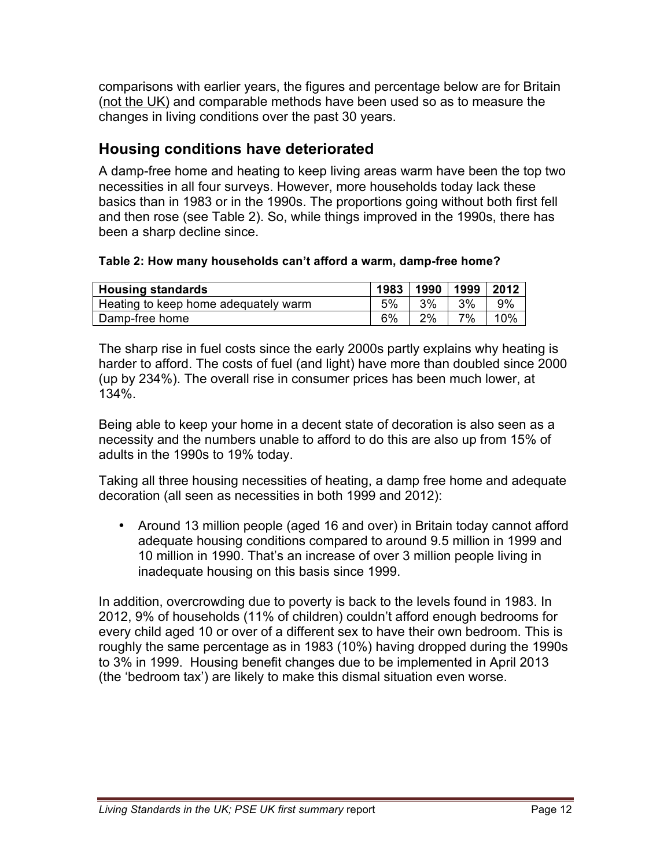comparisons with earlier years, the figures and percentage below are for Britain (not the UK) and comparable methods have been used so as to measure the changes in living conditions over the past 30 years.

## **Housing conditions have deteriorated**

A damp-free home and heating to keep living areas warm have been the top two necessities in all four surveys. However, more households today lack these basics than in 1983 or in the 1990s. The proportions going without both first fell and then rose (see Table 2). So, while things improved in the 1990s, there has been a sharp decline since.

### **Table 2: How many households can't afford a warm, damp-free home?**

| <b>Housing standards</b>             |    | 1983   1990   1999   2012 |    |     |
|--------------------------------------|----|---------------------------|----|-----|
| Heating to keep home adequately warm | 5% | 3%                        | 3% | 9%  |
| Damp-free home                       | 6% | 2%                        | 7% | 10% |

The sharp rise in fuel costs since the early 2000s partly explains why heating is harder to afford. The costs of fuel (and light) have more than doubled since 2000 (up by 234%). The overall rise in consumer prices has been much lower, at 134%.

Being able to keep your home in a decent state of decoration is also seen as a necessity and the numbers unable to afford to do this are also up from 15% of adults in the 1990s to 19% today.

Taking all three housing necessities of heating, a damp free home and adequate decoration (all seen as necessities in both 1999 and 2012):

• Around 13 million people (aged 16 and over) in Britain today cannot afford adequate housing conditions compared to around 9.5 million in 1999 and 10 million in 1990. That's an increase of over 3 million people living in inadequate housing on this basis since 1999.

In addition, overcrowding due to poverty is back to the levels found in 1983. In 2012, 9% of households (11% of children) couldn't afford enough bedrooms for every child aged 10 or over of a different sex to have their own bedroom. This is roughly the same percentage as in 1983 (10%) having dropped during the 1990s to 3% in 1999. Housing benefit changes due to be implemented in April 2013 (the 'bedroom tax') are likely to make this dismal situation even worse.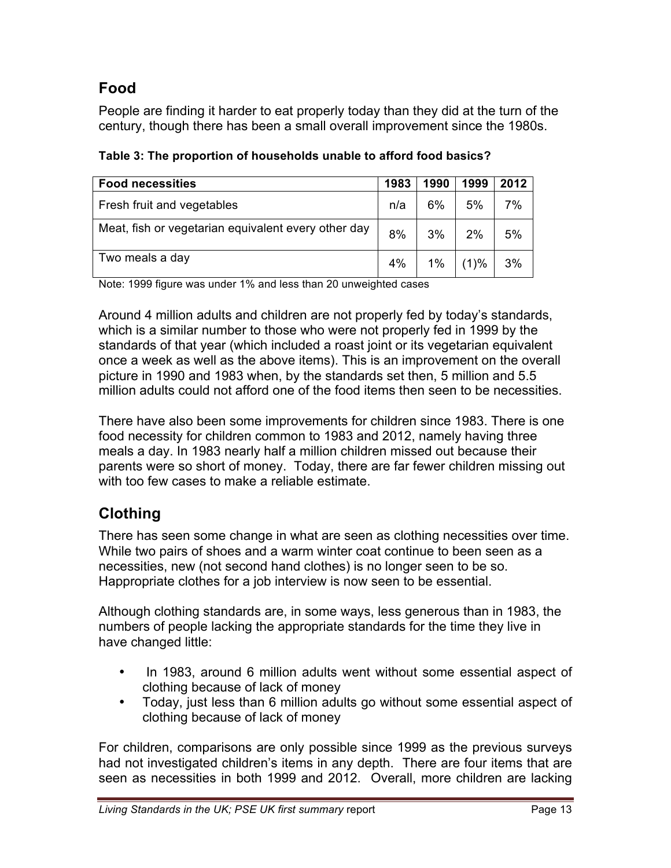## **Food**

People are finding it harder to eat properly today than they did at the turn of the century, though there has been a small overall improvement since the 1980s.

| <b>Food necessities</b>                             | 1983 | 1990  | 1999    | 2012 |
|-----------------------------------------------------|------|-------|---------|------|
| Fresh fruit and vegetables                          | n/a  | 6%    | 5%      | 7%   |
| Meat, fish or vegetarian equivalent every other day | 8%   | 3%    | 2%      | 5%   |
| Two meals a day                                     | 4%   | $1\%$ | $(1)$ % | 3%   |

**Table 3: The proportion of households unable to afford food basics?**

Note: 1999 figure was under 1% and less than 20 unweighted cases

Around 4 million adults and children are not properly fed by today's standards, which is a similar number to those who were not properly fed in 1999 by the standards of that year (which included a roast joint or its vegetarian equivalent once a week as well as the above items). This is an improvement on the overall picture in 1990 and 1983 when, by the standards set then, 5 million and 5.5 million adults could not afford one of the food items then seen to be necessities.

There have also been some improvements for children since 1983. There is one food necessity for children common to 1983 and 2012, namely having three meals a day. In 1983 nearly half a million children missed out because their parents were so short of money. Today, there are far fewer children missing out with too few cases to make a reliable estimate.

## **Clothing**

There has seen some change in what are seen as clothing necessities over time. While two pairs of shoes and a warm winter coat continue to been seen as a necessities, new (not second hand clothes) is no longer seen to be so. Happropriate clothes for a job interview is now seen to be essential.

Although clothing standards are, in some ways, less generous than in 1983, the numbers of people lacking the appropriate standards for the time they live in have changed little:

- In 1983, around 6 million adults went without some essential aspect of clothing because of lack of money
- Today, just less than 6 million adults go without some essential aspect of clothing because of lack of money

For children, comparisons are only possible since 1999 as the previous surveys had not investigated children's items in any depth. There are four items that are seen as necessities in both 1999 and 2012. Overall, more children are lacking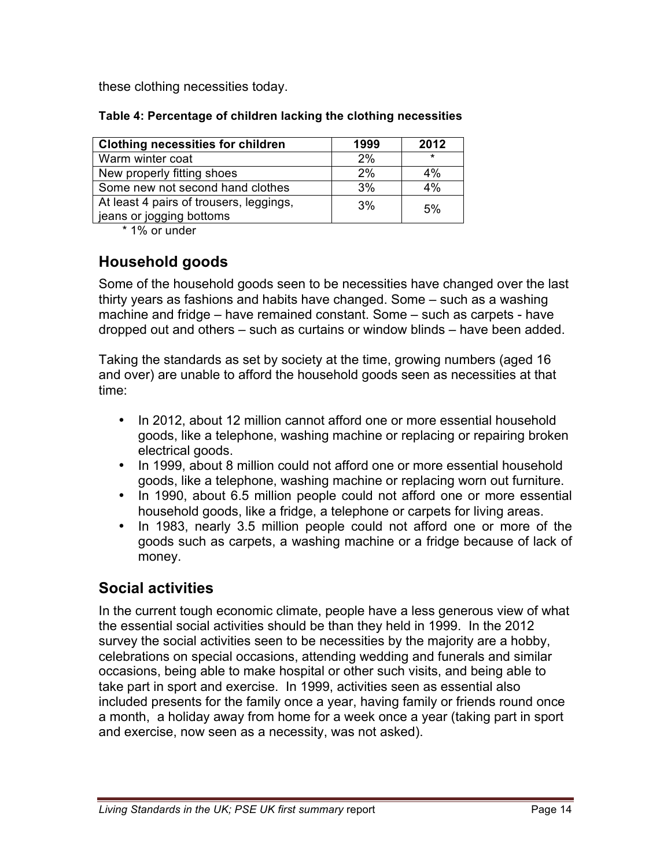these clothing necessities today.

| <b>Clothing necessities for children</b>                            | 1999 | 2012    |
|---------------------------------------------------------------------|------|---------|
| Warm winter coat                                                    | 2%   | $\star$ |
| New properly fitting shoes                                          | 2%   | 4%      |
| Some new not second hand clothes                                    | 3%   | 4%      |
| At least 4 pairs of trousers, leggings,<br>jeans or jogging bottoms | 3%   | 5%      |

\* 1% or under

## **Household goods**

Some of the household goods seen to be necessities have changed over the last thirty years as fashions and habits have changed. Some – such as a washing machine and fridge – have remained constant. Some – such as carpets - have dropped out and others – such as curtains or window blinds – have been added.

Taking the standards as set by society at the time, growing numbers (aged 16 and over) are unable to afford the household goods seen as necessities at that time:

- In 2012, about 12 million cannot afford one or more essential household goods, like a telephone, washing machine or replacing or repairing broken electrical goods.
- In 1999, about 8 million could not afford one or more essential household goods, like a telephone, washing machine or replacing worn out furniture.
- In 1990, about 6.5 million people could not afford one or more essential household goods, like a fridge, a telephone or carpets for living areas.
- In 1983, nearly 3.5 million people could not afford one or more of the goods such as carpets, a washing machine or a fridge because of lack of money.

## **Social activities**

In the current tough economic climate, people have a less generous view of what the essential social activities should be than they held in 1999. In the 2012 survey the social activities seen to be necessities by the majority are a hobby, celebrations on special occasions, attending wedding and funerals and similar occasions, being able to make hospital or other such visits, and being able to take part in sport and exercise. In 1999, activities seen as essential also included presents for the family once a year, having family or friends round once a month, a holiday away from home for a week once a year (taking part in sport and exercise, now seen as a necessity, was not asked).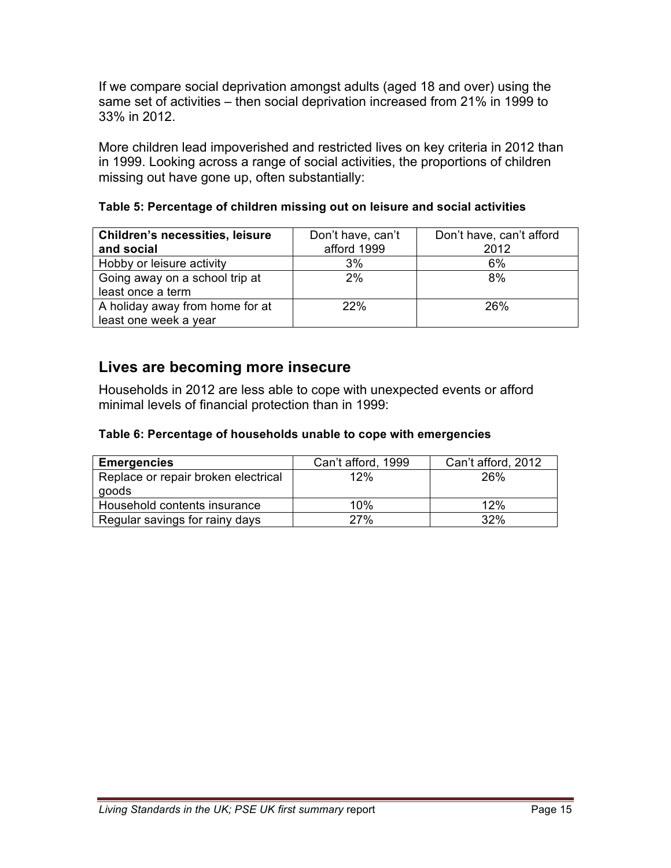If we compare social deprivation amongst adults (aged 18 and over) using the same set of activities – then social deprivation increased from 21% in 1999 to 33% in 2012.

More children lead impoverished and restricted lives on key criteria in 2012 than in 1999. Looking across a range of social activities, the proportions of children missing out have gone up, often substantially:

| <b>Children's necessities, leisure</b><br>and social     | Don't have, can't<br>afford 1999 | Don't have, can't afford<br>2012 |
|----------------------------------------------------------|----------------------------------|----------------------------------|
| Hobby or leisure activity                                | 3%                               | 6%                               |
| Going away on a school trip at<br>least once a term      | 2%                               | 8%                               |
| A holiday away from home for at<br>least one week a year | 22%                              | 26%                              |

**Table 5: Percentage of children missing out on leisure and social activities** 

### **Lives are becoming more insecure**

Households in 2012 are less able to cope with unexpected events or afford minimal levels of financial protection than in 1999:

### **Table 6: Percentage of households unable to cope with emergencies**

| <b>Emergencies</b>                  | Can't afford, 1999 | Can't afford, 2012 |
|-------------------------------------|--------------------|--------------------|
| Replace or repair broken electrical | 12%                | 26%                |
| goods                               |                    |                    |
| Household contents insurance        | 10%                | 12%                |
| Regular savings for rainy days      | 27%                | 32%                |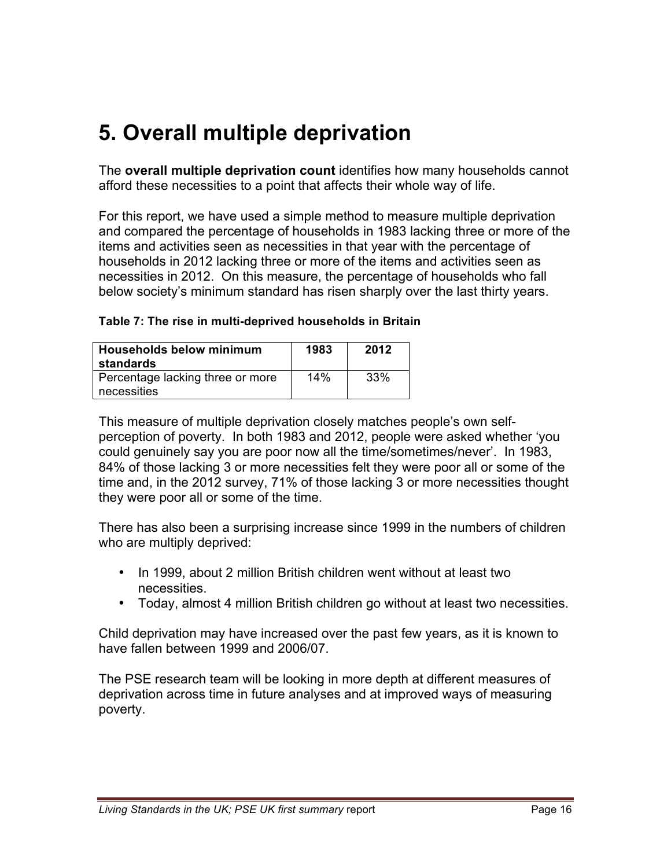# **5. Overall multiple deprivation**

The **overall multiple deprivation count** identifies how many households cannot afford these necessities to a point that affects their whole way of life.

For this report, we have used a simple method to measure multiple deprivation and compared the percentage of households in 1983 lacking three or more of the items and activities seen as necessities in that year with the percentage of households in 2012 lacking three or more of the items and activities seen as necessities in 2012. On this measure, the percentage of households who fall below society's minimum standard has risen sharply over the last thirty years.

#### **Table 7: The rise in multi-deprived households in Britain**

| <b>Households below minimum</b><br>standards    | 1983 | 2012 |
|-------------------------------------------------|------|------|
| Percentage lacking three or more<br>necessities | 14%  | 33%  |

This measure of multiple deprivation closely matches people's own selfperception of poverty. In both 1983 and 2012, people were asked whether 'you could genuinely say you are poor now all the time/sometimes/never'. In 1983, 84% of those lacking 3 or more necessities felt they were poor all or some of the time and, in the 2012 survey, 71% of those lacking 3 or more necessities thought they were poor all or some of the time.

There has also been a surprising increase since 1999 in the numbers of children who are multiply deprived:

- In 1999, about 2 million British children went without at least two necessities.
- Today, almost 4 million British children go without at least two necessities.

Child deprivation may have increased over the past few years, as it is known to have fallen between 1999 and 2006/07.

The PSE research team will be looking in more depth at different measures of deprivation across time in future analyses and at improved ways of measuring poverty.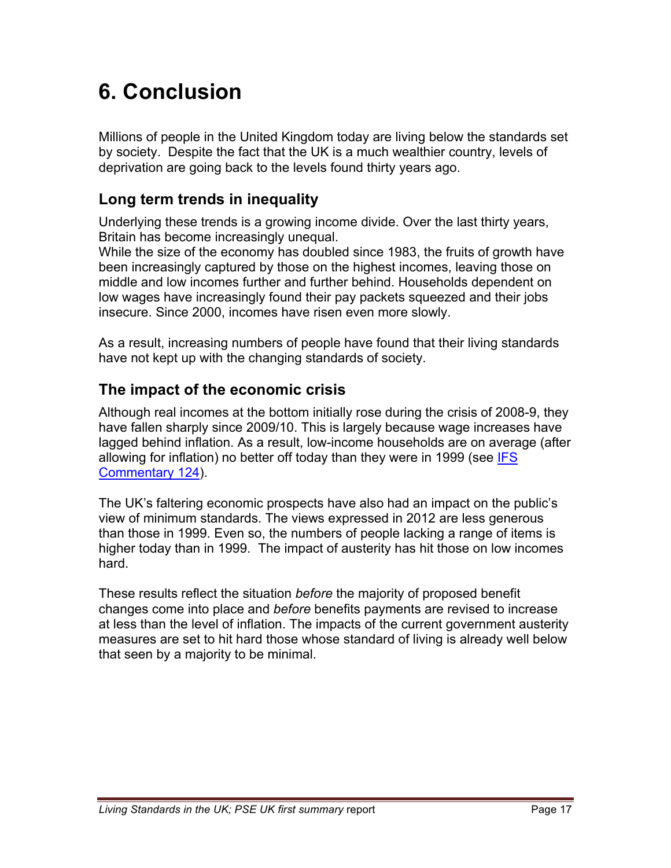# **6. Conclusion**

Millions of people in the United Kingdom today are living below the standards set by society. Despite the fact that the UK is a much wealthier country, levels of deprivation are going back to the levels found thirty years ago.

## **Long term trends in inequality**

Underlying these trends is a growing income divide. Over the last thirty years, Britain has become increasingly unequal.

While the size of the economy has doubled since 1983, the fruits of growth have been increasingly captured by those on the highest incomes, leaving those on middle and low incomes further and further behind. Households dependent on low wages have increasingly found their pay packets squeezed and their jobs insecure. Since 2000, incomes have risen even more slowly.

As a result, increasing numbers of people have found that their living standards have not kept up with the changing standards of society.

## **The impact of the economic crisis**

Although real incomes at the bottom initially rose during the crisis of 2008-9, they have fallen sharply since 2009/10. This is largely because wage increases have lagged behind inflation. As a result, low-income households are on average (after allowing for inflation) [no better off today than they were in 1999 \(see IFS](http://www.ifs.org.uk/comms/comm124.pdf)  Commentary 124).

The UK's faltering economic prospects have also had an impact on the public's view of minimum standards. The views expressed in 2012 are less generous than those in 1999. Even so, the numbers of people lacking a range of items is higher today than in 1999. The impact of austerity has hit those on low incomes hard.

These results reflect the situation *before* the majority of proposed benefit changes come into place and *before* benefits payments are revised to increase at less than the level of inflation. The impacts of the current government austerity measures are set to hit hard those whose standard of living is already well below that seen by a majority to be minimal.